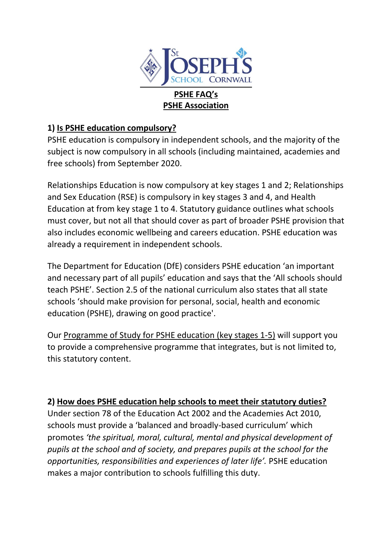

#### **PSHE Association**

### **1) [Is PSHE education compulsory?](https://www.pshe-association.org.uk/curriculum#collapseTwo)**

PSHE education is compulsory in independent schools, and the majority of the subject is now compulsory in all schools (including maintained, academies and free schools) from September 2020.

Relationships Education is now compulsory at key stages 1 and 2; Relationships and Sex Education (RSE) is compulsory in key stages 3 and 4, and Health Education at from key stage 1 to 4. Statutory guidance outlines what schools must cover, but not all that should cover as part of broader PSHE provision that also includes economic wellbeing and careers education. PSHE education was already a requirement in independent schools.

The Department for Education (DfE) considers PSHE education 'an important and necessary part of all pupils' education and says that the 'All schools should teach PSHE'. Section 2.5 of the national curriculum also states that all state schools 'should make provision for personal, social, health and economic education (PSHE), drawing on good practice'.

Our [Programme of Study for PSHE education \(key stages 1-5\)](https://www.pshe-association.org.uk/curriculum-and-resources/resources/programme-study-pshe-education-key-stages-1%E2%80%935) will support you to provide a comprehensive programme that integrates, but is not limited to, this statutory content.

#### **2) [How does PSHE education help schools to meet their statutory duties?](https://www.pshe-association.org.uk/curriculum#collapseFour)**

Under section 78 of the Education Act 2002 and the Academies Act 2010, schools must provide a 'balanced and broadly-based curriculum' which promotes *'the spiritual, moral, cultural, mental and physical development of pupils at the school and of society, and prepares pupils at the school for the opportunities, responsibilities and experiences of later life'.* PSHE education makes a major contribution to schools fulfilling this duty.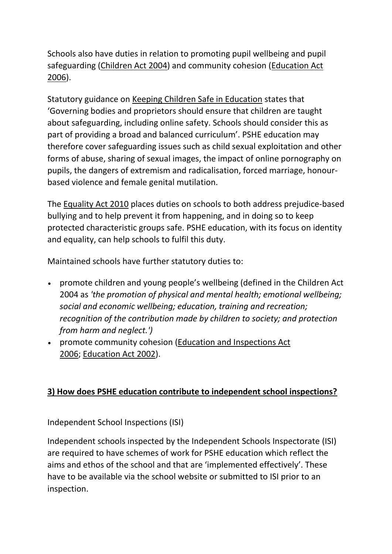Schools also have duties in relation to promoting pupil wellbeing and pupil safeguarding [\(Children Act 2004\)](https://webarchive.nationalarchives.gov.uk/20130403214153/https:/www.education.gov.uk/publications/eOrderingDownload/DFES-0036-2007.pdf) and community cohesion [\(Education Act](https://www.legislation.gov.uk/ukpga/2006/40/contents)  [2006\)](https://www.legislation.gov.uk/ukpga/2006/40/contents).

Statutory guidance on [Keeping Children Safe in Education](https://www.gov.uk/government/publications/keeping-children-safe-in-education--2) states that 'Governing bodies and proprietors should ensure that children are taught about safeguarding, including online safety. Schools should consider this as part of providing a broad and balanced curriculum'. PSHE education may therefore cover safeguarding issues such as child sexual exploitation and other forms of abuse, sharing of sexual images, the impact of online pornography on pupils, the dangers of extremism and radicalisation, forced marriage, honourbased violence and female genital mutilation.

The [Equality Act 2010](http://www.legislation.gov.uk/ukpga/2010/15/contents) places duties on schools to both address prejudice-based bullying and to help prevent it from happening, and in doing so to keep protected characteristic groups safe. PSHE education, with its focus on identity and equality, can help schools to fulfil this duty.

Maintained schools have further statutory duties to:

- promote children and young people's wellbeing (defined in the Children Act 2004 as *'the promotion of physical and mental health; emotional wellbeing; social and economic wellbeing; education, training and recreation; recognition of the contribution made by children to society; and protection from harm and neglect.')*
- promote community cohesion [\(Education and Inspections Act](http://www.legislation.gov.uk/ukpga/2006/40/contents)  [2006;](http://www.legislation.gov.uk/ukpga/2006/40/contents) [Education Act 2002\)](http://www.legislation.gov.uk/ukpga/2002/32/contents).

## **3) [How does PSHE education contribute to independent school inspections?](https://www.pshe-association.org.uk/curriculum#collapseFive)**

Independent School Inspections (ISI)

Independent schools inspected by the Independent Schools Inspectorate (ISI) are required to have schemes of work for PSHE education which reflect the aims and ethos of the school and that are 'implemented effectively'. These have to be available via the school website or submitted to ISI prior to an inspection.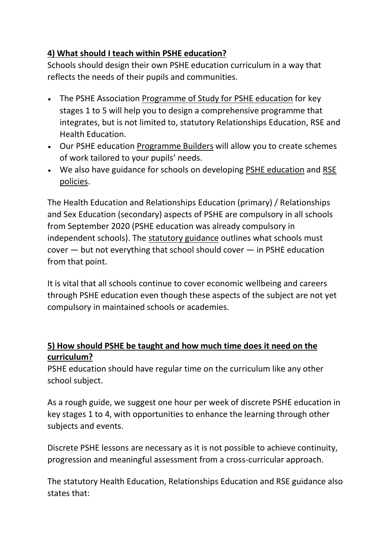# **4) [What should I teach within PSHE education?](https://www.pshe-association.org.uk/curriculum#collapseSix)**

Schools should design their own PSHE education curriculum in a way that reflects the needs of their pupils and communities.

- The PSHE Association [Programme of Study for PSHE education](https://www.pshe-association.org.uk/curriculum-and-resources/resources/programme-study-pshe-education-key-stages-1%E2%80%935) for key stages 1 to 5 will help you to design a comprehensive programme that integrates, but is not limited to, statutory Relationships Education, RSE and Health Education.
- Our PSHE education [Programme Builders](https://www.pshe-association.org.uk/curriculum-and-resources/resources/programme-builders-pshe-education-ks1-4) will allow you to create schemes of work tailored to your pupils' needs.
- We also have guidance for schools on developing [PSHE education](https://www.pshe-association.org.uk/curriculum-and-resources/resources/creating-pshe-education-policy-your-school) and [RSE](https://www.pshe-association.org.uk/curriculum-and-resources/resources/writing-your-rse-policy-guidance-pshe-association)  [policies.](https://www.pshe-association.org.uk/curriculum-and-resources/resources/writing-your-rse-policy-guidance-pshe-association)

The Health Education and Relationships Education (primary) / Relationships and Sex Education (secondary) aspects of PSHE are compulsory in all schools from September 2020 (PSHE education was already compulsory in independent schools). The [statutory guidance](https://assets.publishing.service.gov.uk/government/uploads/system/uploads/attachment_data/file/908013/Relationships_Education__Relationships_and_Sex_Education__RSE__and_Health_Education.pdf) outlines what schools must cover — but not everything that school should cover — in PSHE education from that point.

It is vital that all schools continue to cover economic wellbeing and careers through PSHE education even though these aspects of the subject are not yet compulsory in maintained schools or academies.

# **5) [How should PSHE be taught and how much time does it need on the](https://www.pshe-association.org.uk/curriculum#collapseSeven)  [curriculum?](https://www.pshe-association.org.uk/curriculum#collapseSeven)**

PSHE education should have regular time on the curriculum like any other school subject.

As a rough guide, we suggest one hour per week of discrete PSHE education in key stages 1 to 4, with opportunities to enhance the learning through other subjects and events.

Discrete PSHE lessons are necessary as it is not possible to achieve continuity, progression and meaningful assessment from a cross-curricular approach.

The statutory Health Education, Relationships Education and RSE guidance also states that: